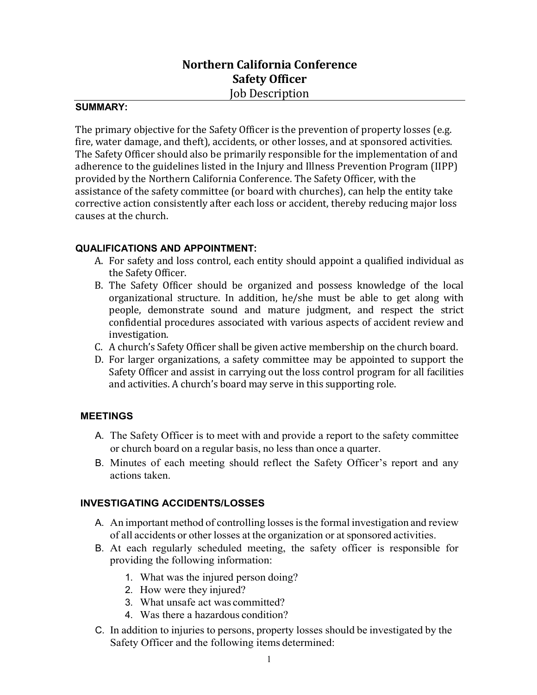# **Northern California Conference Safety Officer** Job Description

# **SUMMARY:**

The primary objective for the Safety Officer is the prevention of property losses (e.g. fire, water damage, and theft), accidents, or other losses, and at sponsored activities. The Safety Officer should also be primarily responsible for the implementation of and adherence to the guidelines listed in the Injury and Illness Prevention Program (IIPP) provided by the Northern California Conference. The Safety Officer, with the assistance of the safety committee (or board with churches), can help the entity take corrective action consistently after each loss or accident, thereby reducing major loss causes at the church.

### **QUALIFICATIONS AND APPOINTMENT:**

- A. For safety and loss control, each entity should appoint a qualified individual as the Safety Officer.
- B. The Safety Officer should be organized and possess knowledge of the local organizational structure. In addition, he/she must be able to get along with people, demonstrate sound and mature judgment, and respect the strict confidential procedures associated with various aspects of accident review and investigation.
- C. A church's Safety Officer shall be given active membership on the church board.
- D. For larger organizations, a safety committee may be appointed to support the Safety Officer and assist in carrying out the loss control program for all facilities and activities. A church's board may serve in this supporting role.

# **MEETINGS**

- A. The Safety Officer is to meet with and provide a report to the safety committee or church board on a regular basis, no less than once a quarter.
- B. Minutes of each meeting should reflect the Safety Officer's report and any actions taken.

### **INVESTIGATING ACCIDENTS/LOSSES**

- A. An important method of controlling losses is the formal investigation and review of all accidents or other losses at the organization or at sponsored activities.
- B. At each regularly scheduled meeting, the safety officer is responsible for providing the following information:
	- 1. What was the injured person doing?
	- 2. How were they injured?
	- 3. What unsafe act was committed?
	- 4. Was there a hazardous condition?
- C. In addition to injuries to persons, property losses should be investigated by the Safety Officer and the following items determined: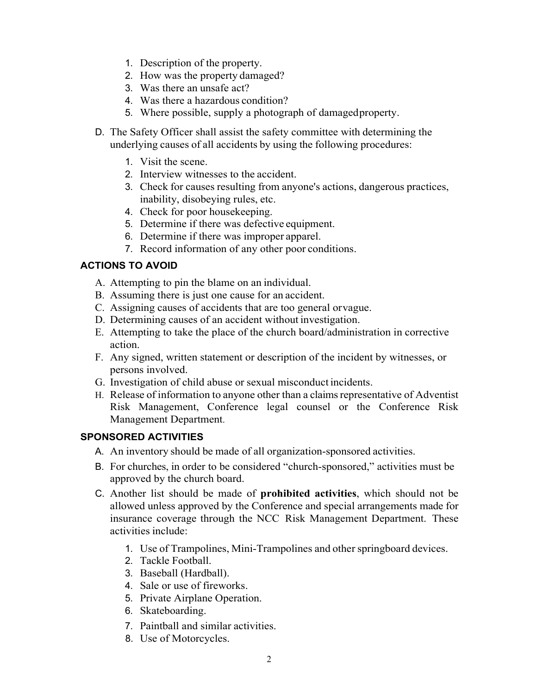- 1. Description of the property.
- 2. How was the property damaged?
- 3. Was there an unsafe act?
- 4. Was there a hazardous condition?
- 5. Where possible, supply a photograph of damagedproperty.
- D. The Safety Officer shall assist the safety committee with determining the underlying causes of all accidents by using the following procedures:
	- 1. Visit the scene.
	- 2. Interview witnesses to the accident.
	- 3. Check for causes resulting from anyone's actions, dangerous practices, inability, disobeying rules, etc.
	- 4. Check for poor housekeeping.
	- 5. Determine if there was defective equipment.
	- 6. Determine if there was improper apparel.
	- 7. Record information of any other poor conditions.

## **ACTIONS TO AVOID**

- A. Attempting to pin the blame on an individual.
- B. Assuming there is just one cause for an accident.
- C. Assigning causes of accidents that are too general orvague.
- D. Determining causes of an accident without investigation.
- E. Attempting to take the place of the church board/administration in corrective action.
- F. Any signed, written statement or description of the incident by witnesses, or persons involved.
- G. Investigation of child abuse or sexual misconduct incidents.
- H. Release of information to anyone other than a claims representative of Adventist Risk Management, Conference legal counsel or the Conference Risk Management Department.

# **SPONSORED ACTIVITIES**

- A. An inventory should be made of all organization-sponsored activities.
- B. For churches, in order to be considered "church-sponsored," activities must be approved by the church board.
- C. Another list should be made of **prohibited activities**, which should not be allowed unless approved by the Conference and special arrangements made for insurance coverage through the NCC Risk Management Department. These activities include:
	- 1. Use of Trampolines, Mini-Trampolines and other springboard devices.
	- 2. Tackle Football.
	- 3. Baseball (Hardball).
	- 4. Sale or use of fireworks.
	- 5. Private Airplane Operation.
	- 6. Skateboarding.
	- 7. Paintball and similar activities.
	- 8. Use of Motorcycles.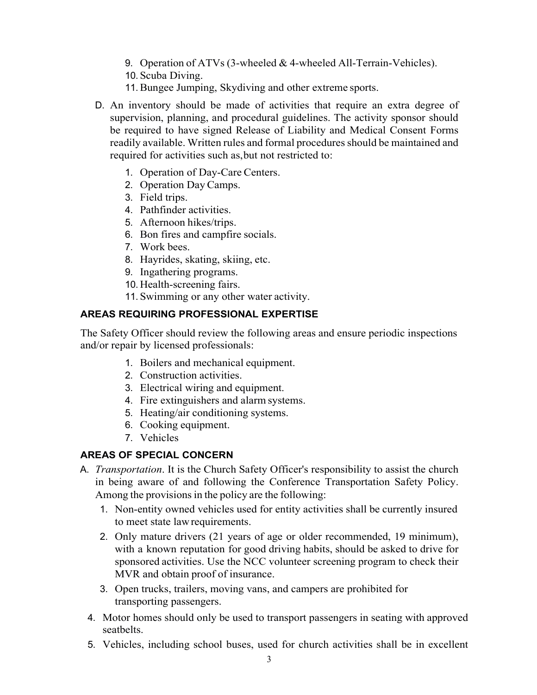- 9. Operation of ATVs (3-wheeled & 4-wheeled All-Terrain-Vehicles).
- 10. Scuba Diving.
- 11.Bungee Jumping, Skydiving and other extreme sports.
- D. An inventory should be made of activities that require an extra degree of supervision, planning, and procedural guidelines. The activity sponsor should be required to have signed Release of Liability and Medical Consent Forms readily available. Written rules and formal procedures should be maintained and required for activities such as,but not restricted to:
	- 1. Operation of Day-Care Centers.
	- 2. Operation DayCamps.
	- 3. Field trips.
	- 4. Pathfinder activities.
	- 5. Afternoon hikes/trips.
	- 6. Bon fires and campfire socials.
	- 7. Work bees.
	- 8. Hayrides, skating, skiing, etc.
	- 9. Ingathering programs.
	- 10. Health-screening fairs.
	- 11. Swimming or any other water activity.

## **AREAS REQUIRING PROFESSIONAL EXPERTISE**

The Safety Officer should review the following areas and ensure periodic inspections and/or repair by licensed professionals:

- 1. Boilers and mechanical equipment.
- 2. Construction activities.
- 3. Electrical wiring and equipment.
- 4. Fire extinguishers and alarm systems.
- 5. Heating/air conditioning systems.
- 6. Cooking equipment.
- 7. Vehicles

# **AREAS OF SPECIAL CONCERN**

- A. *Transportation*. It is the Church Safety Officer's responsibility to assist the church in being aware of and following the Conference Transportation Safety Policy. Among the provisions in the policy are the following:
	- 1. Non-entity owned vehicles used for entity activities shall be currently insured to meet state lawrequirements.
	- 2. Only mature drivers (21 years of age or older recommended, 19 minimum), with a known reputation for good driving habits, should be asked to drive for sponsored activities. Use the NCC volunteer screening program to check their MVR and obtain proof of insurance.
	- 3. Open trucks, trailers, moving vans, and campers are prohibited for transporting passengers.
	- 4. Motor homes should only be used to transport passengers in seating with approved seatbelts.
	- 5. Vehicles, including school buses, used for church activities shall be in excellent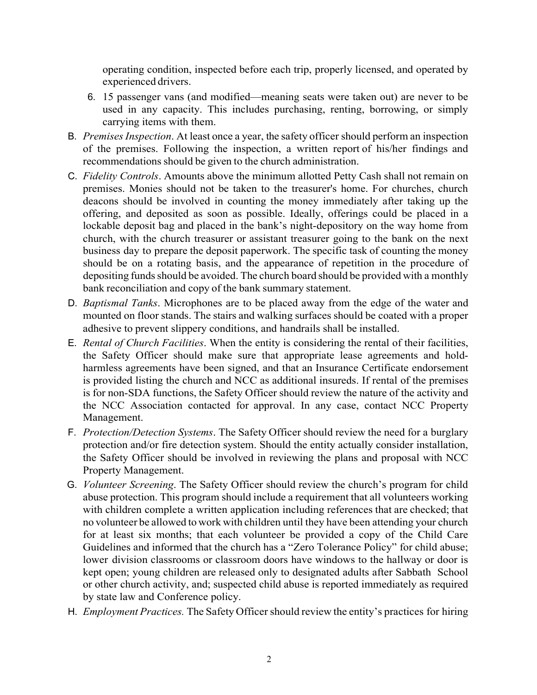operating condition, inspected before each trip, properly licensed, and operated by experienced drivers.

- 6. 15 passenger vans (and modified—meaning seats were taken out) are never to be used in any capacity. This includes purchasing, renting, borrowing, or simply carrying items with them.
- B. *PremisesInspection*. At least once a year, the safety officer should perform an inspection of the premises. Following the inspection, a written report of his/her findings and recommendations should be given to the church administration.
- C. *Fidelity Controls*. Amounts above the minimum allotted Petty Cash shall not remain on premises. Monies should not be taken to the treasurer's home. For churches, church deacons should be involved in counting the money immediately after taking up the offering, and deposited as soon as possible. Ideally, offerings could be placed in a lockable deposit bag and placed in the bank's night-depository on the way home from church, with the church treasurer or assistant treasurer going to the bank on the next business day to prepare the deposit paperwork. The specific task of counting the money should be on a rotating basis, and the appearance of repetition in the procedure of depositing funds should be avoided. The church board should be provided with a monthly bank reconciliation and copy of the bank summary statement.
- D. *Baptismal Tanks*. Microphones are to be placed away from the edge of the water and mounted on floor stands. The stairs and walking surfaces should be coated with a proper adhesive to prevent slippery conditions, and handrails shall be installed.
- E. *Rental of Church Facilities*. When the entity is considering the rental of their facilities, the Safety Officer should make sure that appropriate lease agreements and holdharmless agreements have been signed, and that an Insurance Certificate endorsement is provided listing the church and NCC as additional insureds. If rental of the premises is for non-SDA functions, the Safety Officer should review the nature of the activity and the NCC Association contacted for approval. In any case, contact NCC Property Management.
- F. *Protection/Detection Systems*. The Safety Officer should review the need for a burglary protection and/or fire detection system. Should the entity actually consider installation, the Safety Officer should be involved in reviewing the plans and proposal with NCC Property Management.
- G. *Volunteer Screening*. The Safety Officer should review the church's program for child abuse protection. This program should include a requirement that all volunteers working with children complete a written application including references that are checked; that no volunteer be allowed to work with children until they have been attending your church for at least six months; that each volunteer be provided a copy of the Child Care Guidelines and informed that the church has a "Zero Tolerance Policy" for child abuse; lower division classrooms or classroom doors have windows to the hallway or door is kept open; young children are released only to designated adults after Sabbath School or other church activity, and; suspected child abuse is reported immediately as required by state law and Conference policy.
- H. *Employment Practices*. The Safety Officer should review the entity's practices for hiring